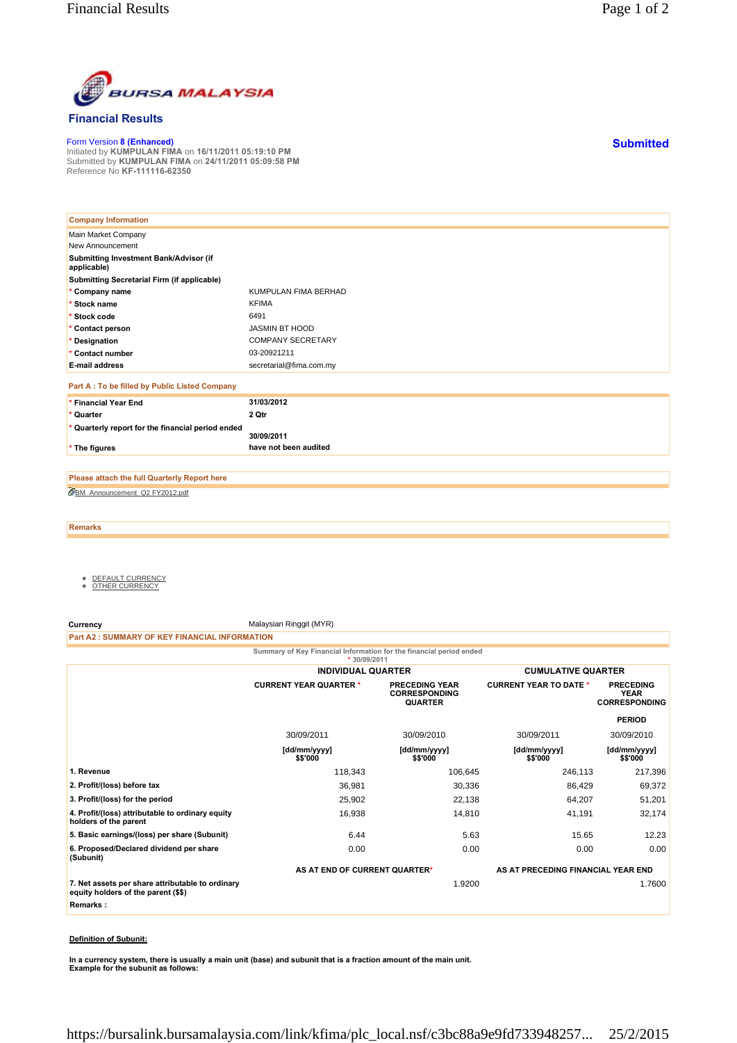

## **Financial Results**

Form Version **8 (Enhanced)** Initiated by **KUMPULAN FIMA** on **16/11/2011 05:19:10 PM** Submitted by **KUMPULAN FIMA** on **24/11/2011 05:09:58 PM** Reference No **KF-111116-62350**

| <b>Company Information</b>                            |                          |
|-------------------------------------------------------|--------------------------|
| Main Market Company                                   |                          |
| New Announcement                                      |                          |
| Submitting Investment Bank/Advisor (if<br>applicable) |                          |
| Submitting Secretarial Firm (if applicable)           |                          |
| * Company name                                        | KUMPULAN FIMA BERHAD     |
| * Stock name                                          | <b>KFIMA</b>             |
| * Stock code                                          | 6491                     |
| * Contact person                                      | <b>JASMIN BT HOOD</b>    |
| * Designation                                         | <b>COMPANY SECRETARY</b> |
| * Contact number                                      | 03-20921211              |
| <b>E-mail address</b>                                 | secretarial@fima.com.my  |
| Part A : To be filled by Public Listed Company        |                          |
| * Financial Year End                                  | 31/03/2012               |
| * Quarter                                             | 2 Qtr                    |
| * Quarterly report for the financial period ended     | 30/09/2011               |
| * The figures                                         | have not been audited    |

BM\_Announcement\_Q2 FY2012.pdf **Please attach the full Quarterly Report here**

**Remarks**

- <u>DEFAULT CURRENCY</u><br>● <u>OTHER CURRENCY</u>
- 

**Currency** Malaysian Ringgit (MYR)

**Part A2 : SUMMARY OF KEY FINANCIAL INFORMATION**

**Summary of Key Financial Information for the financial period ended**

|                                                                                         | $*30/09/2011$                 |                                                                 |                                    |                                                         |
|-----------------------------------------------------------------------------------------|-------------------------------|-----------------------------------------------------------------|------------------------------------|---------------------------------------------------------|
|                                                                                         |                               | <b>INDIVIDUAL QUARTER</b>                                       |                                    | <b>CUMULATIVE QUARTER</b>                               |
|                                                                                         | <b>CURRENT YEAR QUARTER *</b> | <b>PRECEDING YEAR</b><br><b>CORRESPONDING</b><br><b>QUARTER</b> | <b>CURRENT YEAR TO DATE *</b>      | <b>PRECEDING</b><br><b>YEAR</b><br><b>CORRESPONDING</b> |
|                                                                                         |                               |                                                                 |                                    | <b>PERIOD</b>                                           |
|                                                                                         | 30/09/2011                    | 30/09/2010                                                      | 30/09/2011                         | 30/09/2010                                              |
|                                                                                         | [dd/mm/yyyy]<br>\$\$'000      | [dd/mm/yyyy]<br>\$\$'000                                        | [dd/mm/yyyy]<br>\$\$'000           | [dd/mm/yyyy]<br>\$\$'000                                |
| 1. Revenue                                                                              | 118,343                       | 106,645                                                         | 246,113                            | 217,396                                                 |
| 2. Profit/(loss) before tax                                                             | 36,981                        | 30,336                                                          | 86,429                             | 69,372                                                  |
| 3. Profit/(loss) for the period                                                         | 25,902                        | 22,138                                                          | 64,207                             | 51,201                                                  |
| 4. Profit/(loss) attributable to ordinary equity<br>holders of the parent               | 16,938                        | 14,810                                                          | 41,191                             | 32,174                                                  |
| 5. Basic earnings/(loss) per share (Subunit)                                            | 6.44                          | 5.63                                                            | 15.65                              | 12.23                                                   |
| 6. Proposed/Declared dividend per share<br>(Subunit)                                    | 0.00                          | 0.00                                                            | 0.00                               | 0.00                                                    |
|                                                                                         | AS AT END OF CURRENT QUARTER* |                                                                 | AS AT PRECEDING FINANCIAL YEAR END |                                                         |
| 7. Net assets per share attributable to ordinary<br>equity holders of the parent (\$\$) |                               | 1.9200                                                          |                                    | 1.7600                                                  |
| Remarks:                                                                                |                               |                                                                 |                                    |                                                         |
|                                                                                         |                               |                                                                 |                                    |                                                         |

## **Definition of Subunit:**

**In a currency system, there is usually a main unit (base) and subunit that is a fraction amount of the main unit. Example for the subunit as follows:**

**Submitted**